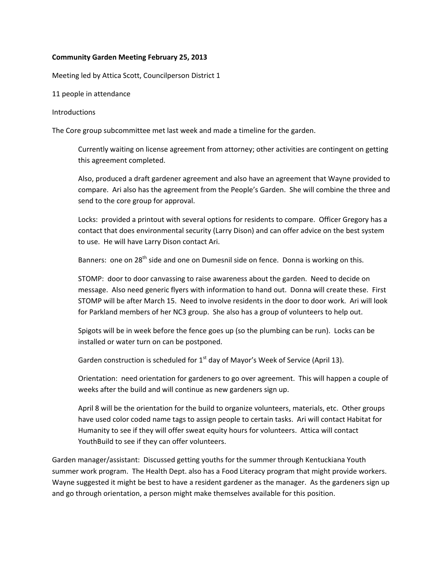## **Community Garden Meeting February 25, 2013**

Meeting led by Attica Scott, Councilperson District 1

11 people in attendance

## Introductions

The Core group subcommittee met last week and made a timeline for the garden.

Currently waiting on license agreement from attorney; other activities are contingent on getting this agreement completed.

Also, produced a draft gardener agreement and also have an agreement that Wayne provided to compare. Ari also has the agreement from the People's Garden. She will combine the three and send to the core group for approval.

Locks: provided a printout with several options for residents to compare. Officer Gregory has a contact that does environmental security (Larry Dison) and can offer advice on the best system to use. He will have Larry Dison contact Ari.

Banners: one on  $28^{th}$  side and one on Dumesnil side on fence. Donna is working on this.

STOMP: door to door canvassing to raise awareness about the garden. Need to decide on message. Also need generic flyers with information to hand out. Donna will create these. First STOMP will be after March 15. Need to involve residents in the door to door work. Ari will look for Parkland members of her NC3 group. She also has a group of volunteers to help out.

Spigots will be in week before the fence goes up (so the plumbing can be run). Locks can be installed or water turn on can be postponed.

Garden construction is scheduled for  $1<sup>st</sup>$  day of Mayor's Week of Service (April 13).

Orientation: need orientation for gardeners to go over agreement. This will happen a couple of weeks after the build and will continue as new gardeners sign up.

April 8 will be the orientation for the build to organize volunteers, materials, etc. Other groups have used color coded name tags to assign people to certain tasks. Ari will contact Habitat for Humanity to see if they will offer sweat equity hours for volunteers. Attica will contact YouthBuild to see if they can offer volunteers.

Garden manager/assistant: Discussed getting youths for the summer through Kentuckiana Youth summer work program. The Health Dept. also has a Food Literacy program that might provide workers. Wayne suggested it might be best to have a resident gardener as the manager. As the gardeners sign up and go through orientation, a person might make themselves available for this position.